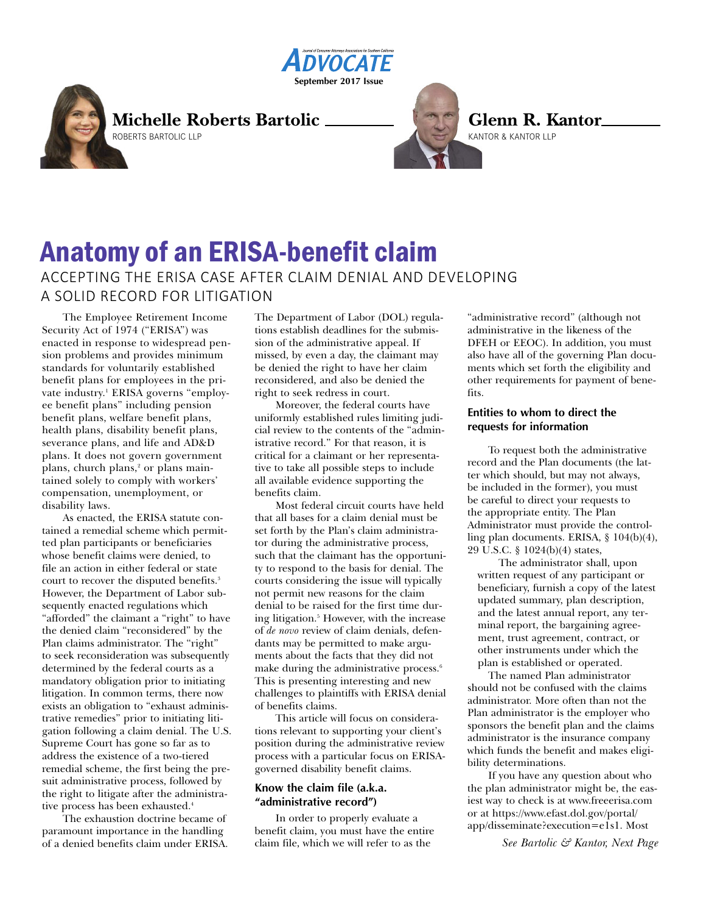



**Glenn R. Kantor** KANTOR & KANTOR LLP

# Anatomy of an ERISA-benefit claim ACCEPTING THE ERISA CASE AFTER CLAIM DENIAL AND DEVELOPING A SOLID RECORD FOR LITIGATION

The Employee Retirement Income Security Act of 1974 ("ERISA") was enacted in response to widespread pension problems and provides minimum standards for voluntarily established benefit plans for employees in the private industry. <sup>1</sup> ERISA governs "employee benefit plans" including pension benefit plans, welfare benefit plans, health plans, disability benefit plans, severance plans, and life and AD&D plans. It does not govern government plans, church plans, <sup>2</sup> or plans maintained solely to comply with workers' compensation, unemployment, or disability laws.

As enacted, the ERISA statute contained a remedial scheme which permitted plan participants or beneficiaries whose benefit claims were denied, to file an action in either federal or state court to recover the disputed benefits. 3 However, the Department of Labor subsequently enacted regulations which "afforded" the claimant a "right" to have the denied claim "reconsidered" by the Plan claims administrator. The "right" to seek reconsideration was subsequently determined by the federal courts as a mandatory obligation prior to initiating litigation. In common terms, there now exists an obligation to "exhaust administrative remedies" prior to initiating litigation following a claim denial. The U.S. Supreme Court has gone so far as to address the existence of a two-tiered remedial scheme, the first being the presuit administrative process, followed by the right to litigate after the administrative process has been exhausted. 4

The exhaustion doctrine became of paramount importance in the handling of a denied benefits claim under ERISA. The Department of Labor (DOL) regulations establish deadlines for the submission of the administrative appeal. If missed, by even a day, the claimant may be denied the right to have her claim reconsidered, and also be denied the right to seek redress in court.

Moreover, the federal courts have uniformly established rules limiting judicial review to the contents of the "administrative record." For that reason, it is critical for a claimant or her representative to take all possible steps to include all available evidence supporting the benefits claim.

Most federal circuit courts have held that all bases for a claim denial must be set forth by the Plan's claim administrator during the administrative process, such that the claimant has the opportunity to respond to the basis for denial. The courts considering the issue will typically not permit new reasons for the claim denial to be raised for the first time during litigation. <sup>5</sup> However, with the increase of *de novo* review of claim denials, defendants may be permitted to make arguments about the facts that they did not make during the administrative process. 6 This is presenting interesting and new challenges to plaintiffs with ERISA denial of benefits claims.

This article will focus on considerations relevant to supporting your client's position during the administrative review process with a particular focus on ERISAgoverned disability benefit claims.

# **Know the claim file (a.k.a. "administrative record")**

In order to properly evaluate a benefit claim, you must have the entire claim file, which we will refer to as the

"administrative record" (although not administrative in the likeness of the DFEH or EEOC). In addition, you must also have all of the governing Plan documents which set forth the eligibility and other requirements for payment of benefits.

# **Entities to whom to direct the requests for information**

To request both the administrative record and the Plan documents (the latter which should, but may not always, be included in the former), you must be careful to direct your requests to the appropriate entity. The Plan Administrator must provide the controlling plan documents. ERISA, § 104(b)(4), 29 U.S.C. § 1024(b)(4) states,

The administrator shall, upon written request of any participant or beneficiary, furnish a copy of the latest updated summary, plan description, and the latest annual report, any terminal report, the bargaining agreement, trust agreement, contract, or other instruments under which the plan is established or operated.

The named Plan administrator should not be confused with the claims administrator. More often than not the Plan administrator is the employer who sponsors the benefit plan and the claims administrator is the insurance company which funds the benefit and makes eligibility determinations.

If you have any question about who the plan administrator might be, the easiest way to check is at www.freeerisa.com or at https://www.efast.dol.gov/portal/ app/disseminate?execution=e1s1. Most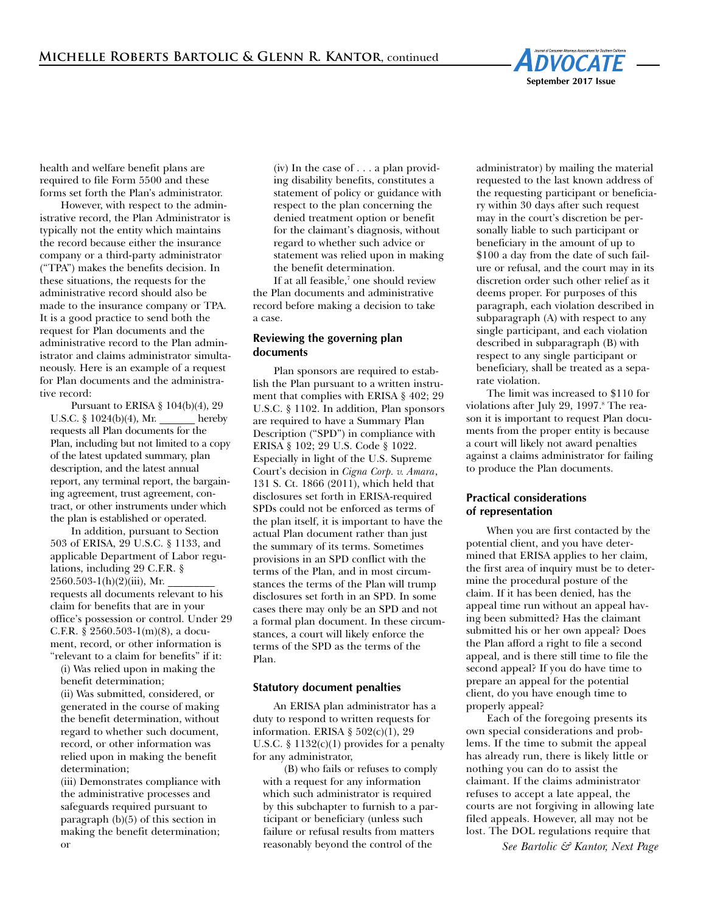

health and welfare benefit plans are required to file Form 5500 and these forms set forth the Plan's administrator.

However, with respect to the administrative record, the Plan Administrator is typically not the entity which maintains the record because either the insurance company or a third-party administrator ("TPA") makes the benefits decision. In these situations, the requests for the administrative record should also be made to the insurance company or TPA. It is a good practice to send both the request for Plan documents and the administrative record to the Plan administrator and claims administrator simultaneously. Here is an example of a request for Plan documents and the administrative record:

Pursuant to ERISA § 104(b)(4), 29 U.S.C. § 1024(b)(4), Mr. \_\_\_\_\_\_\_ hereby requests all Plan documents for the Plan, including but not limited to a copy of the latest updated summary, plan description, and the latest annual report, any terminal report, the bargaining agreement, trust agreement, contract, or other instruments under which the plan is established or operated.

In addition, pursuant to Section 503 of ERISA, 29 U.S.C. § 1133, and applicable Department of Labor regulations, including 29 C.F.R. §  $2560.503-1(h)(2)(iii)$ , Mr. requests all documents relevant to his claim for benefits that are in your office's possession or control. Under 29 C.F.R. § 2560.503-1(m)(8), a document, record, or other information is "relevant to a claim for benefits" if it:

(i) Was relied upon in making the benefit determination;

(ii) Was submitted, considered, or generated in the course of making the benefit determination, without regard to whether such document, record, or other information was relied upon in making the benefit determination;

(iii) Demonstrates compliance with the administrative processes and safeguards required pursuant to paragraph (b)(5) of this section in making the benefit determination; or

(iv) In the case of . . . a plan providing disability benefits, constitutes a statement of policy or guidance with respect to the plan concerning the denied treatment option or benefit for the claimant's diagnosis, without regard to whether such advice or statement was relied upon in making the benefit determination.

If at all feasible, <sup>7</sup> one should review the Plan documents and administrative record before making a decision to take a case.

# **Reviewing the governing plan documents**

Plan sponsors are required to establish the Plan pursuant to a written instrument that complies with ERISA § 402; 29 U.S.C. § 1102. In addition, Plan sponsors are required to have a Summary Plan Description ("SPD") in compliance with ERISA § 102; 29 U.S. Code § 1022. Especially in light of the U.S. Supreme Court's decision in *Cigna Corp. v. Amara*, 131 S. Ct. 1866 (2011), which held that disclosures set forth in ERISA-required SPDs could not be enforced as terms of the plan itself, it is important to have the actual Plan document rather than just the summary of its terms. Sometimes provisions in an SPD conflict with the terms of the Plan, and in most circumstances the terms of the Plan will trump disclosures set forth in an SPD. In some cases there may only be an SPD and not a formal plan document. In these circumstances, a court will likely enforce the terms of the SPD as the terms of the Plan.

#### **Statutory document penalties**

An ERISA plan administrator has a duty to respond to written requests for information. ERISA § 502(c)(1), 29 U.S.C.  $\S$  1132(c)(1) provides for a penalty for any administrator,

(B) who fails or refuses to comply with a request for any information which such administrator is required by this subchapter to furnish to a participant or beneficiary (unless such failure or refusal results from matters reasonably beyond the control of the

administrator) by mailing the material requested to the last known address of the requesting participant or beneficiary within 30 days after such request may in the court's discretion be personally liable to such participant or beneficiary in the amount of up to \$100 a day from the date of such failure or refusal, and the court may in its discretion order such other relief as it deems proper. For purposes of this paragraph, each violation described in subparagraph (A) with respect to any single participant, and each violation described in subparagraph (B) with respect to any single participant or beneficiary, shall be treated as a separate violation.

The limit was increased to \$110 for violations after July 29, 1997. <sup>8</sup> The reason it is important to request Plan documents from the proper entity is because a court will likely not award penalties against a claims administrator for failing to produce the Plan documents.

# **Practical considerations of representation**

When you are first contacted by the potential client, and you have determined that ERISA applies to her claim, the first area of inquiry must be to determine the procedural posture of the claim. If it has been denied, has the appeal time run without an appeal having been submitted? Has the claimant submitted his or her own appeal? Does the Plan afford a right to file a second appeal, and is there still time to file the second appeal? If you do have time to prepare an appeal for the potential client, do you have enough time to properly appeal?

Each of the foregoing presents its own special considerations and problems. If the time to submit the appeal has already run, there is likely little or nothing you can do to assist the claimant. If the claims administrator refuses to accept a late appeal, the courts are not forgiving in allowing late filed appeals. However, all may not be lost. The DOL regulations require that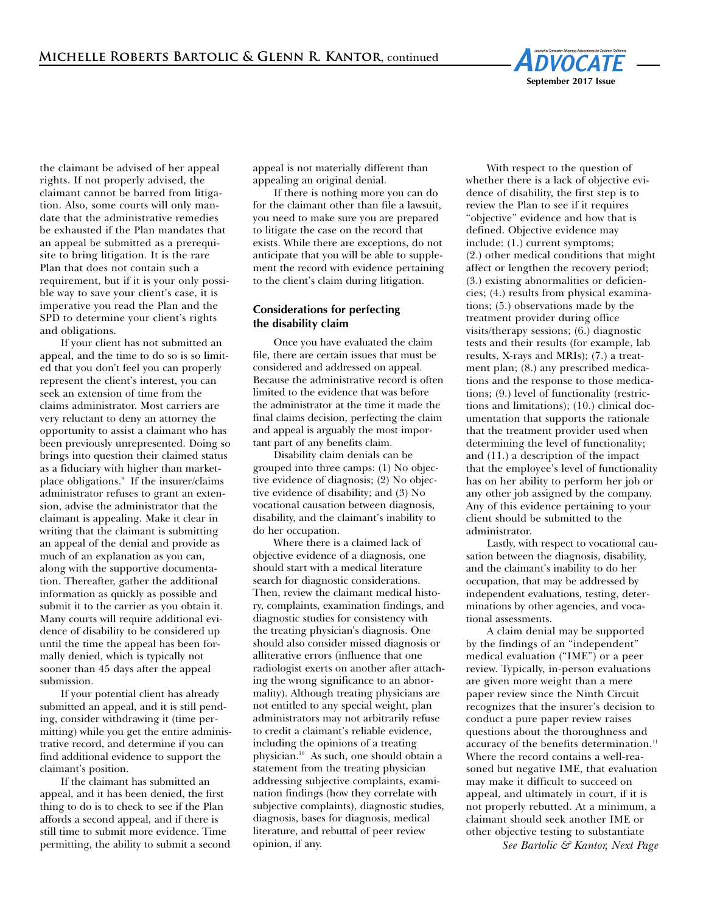

the claimant be advised of her appeal rights. If not properly advised, the claimant cannot be barred from litigation. Also, some courts will only mandate that the administrative remedies be exhausted if the Plan mandates that an appeal be submitted as a prerequisite to bring litigation. It is the rare Plan that does not contain such a requirement, but if it is your only possible way to save your client's case, it is imperative you read the Plan and the SPD to determine your client's rights and obligations.

If your client has not submitted an appeal, and the time to do so is so limited that you don't feel you can properly represent the client's interest, you can seek an extension of time from the claims administrator. Most carriers are very reluctant to deny an attorney the opportunity to assist a claimant who has been previously unrepresented. Doing so brings into question their claimed status as a fiduciary with higher than marketplace obligations. <sup>9</sup> If the insurer/claims administrator refuses to grant an extension, advise the administrator that the claimant is appealing. Make it clear in writing that the claimant is submitting an appeal of the denial and provide as much of an explanation as you can, along with the supportive documentation. Thereafter, gather the additional information as quickly as possible and submit it to the carrier as you obtain it. Many courts will require additional evidence of disability to be considered up until the time the appeal has been formally denied, which is typically not sooner than 45 days after the appeal submission.

If your potential client has already submitted an appeal, and it is still pending, consider withdrawing it (time permitting) while you get the entire administrative record, and determine if you can find additional evidence to support the claimant's position.

If the claimant has submitted an appeal, and it has been denied, the first thing to do is to check to see if the Plan affords a second appeal, and if there is still time to submit more evidence. Time permitting, the ability to submit a second appeal is not materially different than appealing an original denial.

If there is nothing more you can do for the claimant other than file a lawsuit, you need to make sure you are prepared to litigate the case on the record that exists. While there are exceptions, do not anticipate that you will be able to supplement the record with evidence pertaining to the client's claim during litigation.

# **Considerations for perfecting the disability claim**

Once you have evaluated the claim file, there are certain issues that must be considered and addressed on appeal. Because the administrative record is often limited to the evidence that was before the administrator at the time it made the final claims decision, perfecting the claim and appeal is arguably the most important part of any benefits claim.

Disability claim denials can be grouped into three camps: (1) No objective evidence of diagnosis; (2) No objective evidence of disability; and (3) No vocational causation between diagnosis, disability, and the claimant's inability to do her occupation.

Where there is a claimed lack of objective evidence of a diagnosis, one should start with a medical literature search for diagnostic considerations. Then, review the claimant medical history, complaints, examination findings, and diagnostic studies for consistency with the treating physician's diagnosis. One should also consider missed diagnosis or alliterative errors (influence that one radiologist exerts on another after attaching the wrong significance to an abnormality). Although treating physicians are not entitled to any special weight, plan administrators may not arbitrarily refuse to credit a claimant's reliable evidence, including the opinions of a treating physician. <sup>10</sup> As such, one should obtain a statement from the treating physician addressing subjective complaints, examination findings (how they correlate with subjective complaints), diagnostic studies, diagnosis, bases for diagnosis, medical literature, and rebuttal of peer review opinion, if any.

With respect to the question of whether there is a lack of objective evidence of disability, the first step is to review the Plan to see if it requires "objective" evidence and how that is defined. Objective evidence may include: (1.) current symptoms; (2.) other medical conditions that might affect or lengthen the recovery period; (3.) existing abnormalities or deficiencies; (4.) results from physical examinations; (5.) observations made by the treatment provider during office visits/therapy sessions; (6.) diagnostic tests and their results (for example, lab results, X-rays and MRIs); (7.) a treatment plan; (8.) any prescribed medications and the response to those medications; (9.) level of functionality (restrictions and limitations); (10.) clinical documentation that supports the rationale that the treatment provider used when determining the level of functionality; and (11.) a description of the impact that the employee's level of functionality has on her ability to perform her job or any other job assigned by the company. Any of this evidence pertaining to your client should be submitted to the administrator.

Lastly, with respect to vocational causation between the diagnosis, disability, and the claimant's inability to do her occupation, that may be addressed by independent evaluations, testing, determinations by other agencies, and vocational assessments.

A claim denial may be supported by the findings of an "independent" medical evaluation ("IME") or a peer review. Typically, in-person evaluations are given more weight than a mere paper review since the Ninth Circuit recognizes that the insurer's decision to conduct a pure paper review raises questions about the thoroughness and accuracy of the benefits determination. 11 Where the record contains a well-reasoned but negative IME, that evaluation may make it difficult to succeed on appeal, and ultimately in court, if it is not properly rebutted. At a minimum, a claimant should seek another IME or other objective testing to substantiate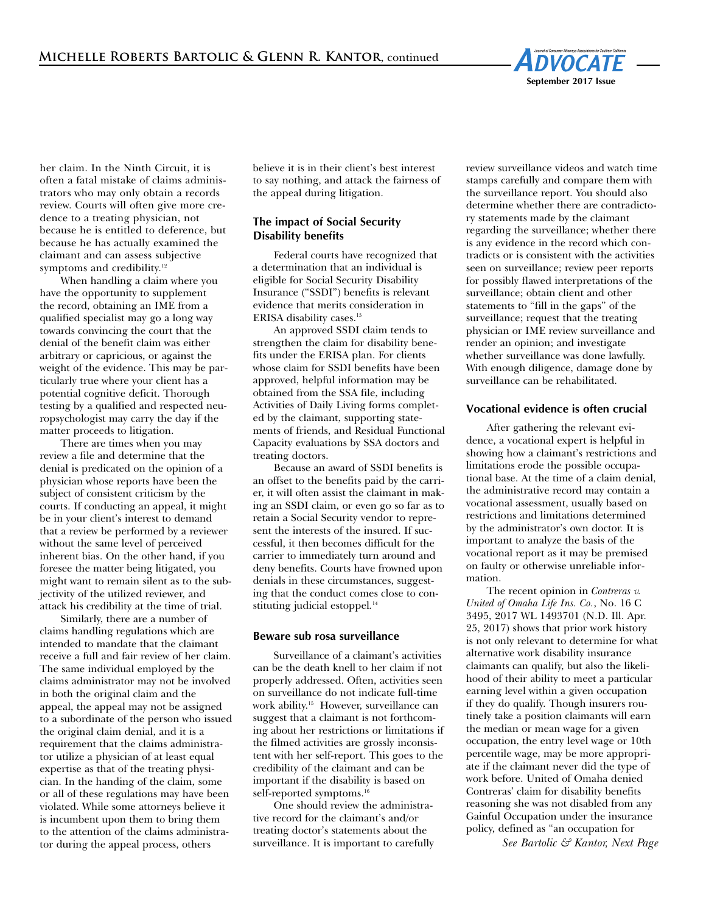

her claim. In the Ninth Circuit, it is often a fatal mistake of claims administrators who may only obtain a records review. Courts will often give more credence to a treating physician, not because he is entitled to deference, but because he has actually examined the claimant and can assess subjective symptoms and credibility. 12

When handling a claim where you have the opportunity to supplement the record, obtaining an IME from a qualified specialist may go a long way towards convincing the court that the denial of the benefit claim was either arbitrary or capricious, or against the weight of the evidence. This may be particularly true where your client has a potential cognitive deficit. Thorough testing by a qualified and respected neuropsychologist may carry the day if the matter proceeds to litigation.

There are times when you may review a file and determine that the denial is predicated on the opinion of a physician whose reports have been the subject of consistent criticism by the courts. If conducting an appeal, it might be in your client's interest to demand that a review be performed by a reviewer without the same level of perceived inherent bias. On the other hand, if you foresee the matter being litigated, you might want to remain silent as to the subjectivity of the utilized reviewer, and attack his credibility at the time of trial.

Similarly, there are a number of claims handling regulations which are intended to mandate that the claimant receive a full and fair review of her claim. The same individual employed by the claims administrator may not be involved in both the original claim and the appeal, the appeal may not be assigned to a subordinate of the person who issued the original claim denial, and it is a requirement that the claims administrator utilize a physician of at least equal expertise as that of the treating physician. In the handing of the claim, some or all of these regulations may have been violated. While some attorneys believe it is incumbent upon them to bring them to the attention of the claims administrator during the appeal process, others

believe it is in their client's best interest to say nothing, and attack the fairness of the appeal during litigation.

#### **The impact of Social Security Disability benefits**

Federal courts have recognized that a determination that an individual is eligible for Social Security Disability Insurance ("SSDI") benefits is relevant evidence that merits consideration in ERISA disability cases. 13

An approved SSDI claim tends to strengthen the claim for disability benefits under the ERISA plan. For clients whose claim for SSDI benefits have been approved, helpful information may be obtained from the SSA file, including Activities of Daily Living forms completed by the claimant, supporting statements of friends, and Residual Functional Capacity evaluations by SSA doctors and treating doctors.

Because an award of SSDI benefits is an offset to the benefits paid by the carrier, it will often assist the claimant in making an SSDI claim, or even go so far as to retain a Social Security vendor to represent the interests of the insured. If successful, it then becomes difficult for the carrier to immediately turn around and deny benefits. Courts have frowned upon denials in these circumstances, suggesting that the conduct comes close to constituting judicial estoppel*.* 14

#### **Beware sub rosa surveillance**

Surveillance of a claimant's activities can be the death knell to her claim if not properly addressed. Often, activities seen on surveillance do not indicate full-time work ability. <sup>15</sup> However, surveillance can suggest that a claimant is not forthcoming about her restrictions or limitations if the filmed activities are grossly inconsistent with her self-report. This goes to the credibility of the claimant and can be important if the disability is based on self-reported symptoms. 16

One should review the administrative record for the claimant's and/or treating doctor's statements about the surveillance. It is important to carefully review surveillance videos and watch time stamps carefully and compare them with the surveillance report. You should also determine whether there are contradictory statements made by the claimant regarding the surveillance; whether there is any evidence in the record which contradicts or is consistent with the activities seen on surveillance; review peer reports for possibly flawed interpretations of the surveillance; obtain client and other statements to "fill in the gaps" of the surveillance; request that the treating physician or IME review surveillance and render an opinion; and investigate whether surveillance was done lawfully. With enough diligence, damage done by surveillance can be rehabilitated.

#### **Vocational evidence is often crucial**

After gathering the relevant evidence, a vocational expert is helpful in showing how a claimant's restrictions and limitations erode the possible occupational base. At the time of a claim denial, the administrative record may contain a vocational assessment, usually based on restrictions and limitations determined by the administrator's own doctor. It is important to analyze the basis of the vocational report as it may be premised on faulty or otherwise unreliable information.

The recent opinion in *Contreras v. United of Omaha Life Ins. Co.*, No. 16 C 3495, 2017 WL 1493701 (N.D. Ill. Apr. 25, 2017) shows that prior work history is not only relevant to determine for what alternative work disability insurance claimants can qualify, but also the likelihood of their ability to meet a particular earning level within a given occupation if they do qualify. Though insurers routinely take a position claimants will earn the median or mean wage for a given occupation, the entry level wage or 10th percentile wage, may be more appropriate if the claimant never did the type of work before. United of Omaha denied Contreras' claim for disability benefits reasoning she was not disabled from any Gainful Occupation under the insurance policy, defined as "an occupation for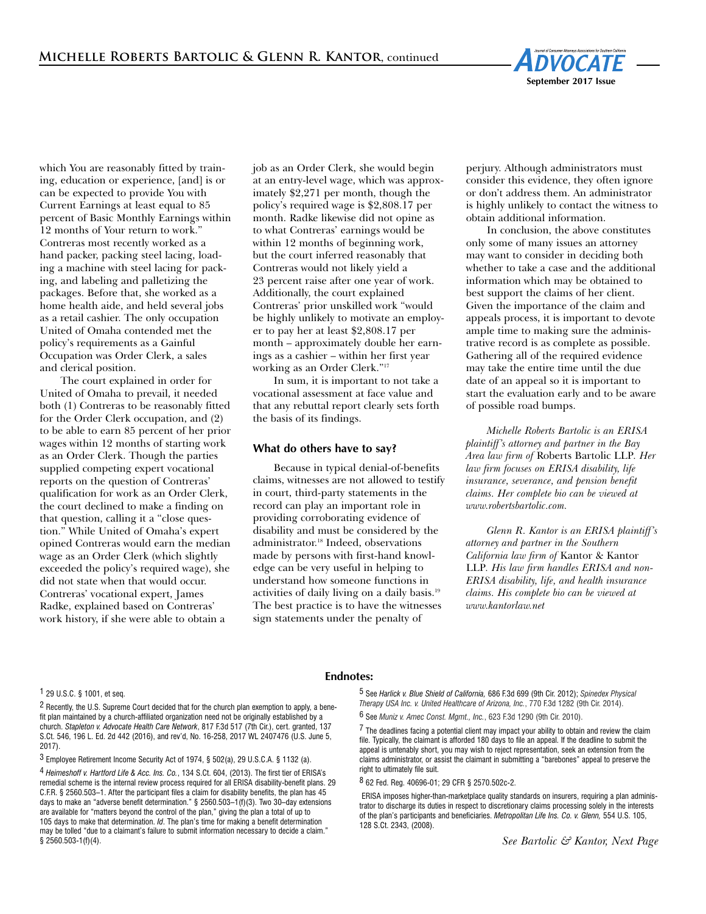

which You are reasonably fitted by training, education or experience, [and] is or can be expected to provide You with Current Earnings at least equal to 85 percent of Basic Monthly Earnings within 12 months of Your return to work." Contreras most recently worked as a hand packer, packing steel lacing, loading a machine with steel lacing for packing, and labeling and palletizing the packages. Before that, she worked as a home health aide, and held several jobs as a retail cashier. The only occupation United of Omaha contended met the policy's requirements as a Gainful Occupation was Order Clerk, a sales and clerical position.

The court explained in order for United of Omaha to prevail, it needed both (1) Contreras to be reasonably fitted for the Order Clerk occupation, and (2) to be able to earn 85 percent of her prior wages within 12 months of starting work as an Order Clerk. Though the parties supplied competing expert vocational reports on the question of Contreras' qualification for work as an Order Clerk, the court declined to make a finding on that question, calling it a "close question." While United of Omaha's expert opined Contreras would earn the median wage as an Order Clerk (which slightly exceeded the policy's required wage), she did not state when that would occur. Contreras' vocational expert, James Radke, explained based on Contreras' work history, if she were able to obtain a

job as an Order Clerk, she would begin at an entry-level wage, which was approximately \$2,271 per month, though the policy's required wage is \$2,808.17 per month. Radke likewise did not opine as to what Contreras' earnings would be within 12 months of beginning work, but the court inferred reasonably that Contreras would not likely yield a 23 percent raise after one year of work. Additionally, the court explained Contreras' prior unskilled work "would be highly unlikely to motivate an employer to pay her at least \$2,808.17 per month – approximately double her earnings as a cashier – within her first year working as an Order Clerk."17

In sum, it is important to not take a vocational assessment at face value and that any rebuttal report clearly sets forth the basis of its findings.

# **What do others have to say?**

Because in typical denial-of-benefits claims, witnesses are not allowed to testify in court, third-party statements in the record can play an important role in providing corroborating evidence of disability and must be considered by the administrator. <sup>18</sup> Indeed, observations made by persons with first-hand knowledge can be very useful in helping to understand how someone functions in activities of daily living on a daily basis. 19 The best practice is to have the witnesses sign statements under the penalty of

perjury. Although administrators must consider this evidence, they often ignore or don't address them. An administrator is highly unlikely to contact the witness to obtain additional information.

In conclusion, the above constitutes only some of many issues an attorney may want to consider in deciding both whether to take a case and the additional information which may be obtained to best support the claims of her client. Given the importance of the claim and appeals process, it is important to devote ample time to making sure the administrative record is as complete as possible. Gathering all of the required evidence may take the entire time until the due date of an appeal so it is important to start the evaluation early and to be aware of possible road bumps.

*Michelle Roberts Bartolic is an ERISA plaintiff's attorney and partner in the Bay Area law firm of* Roberts Bartolic LLP*. Her law firm focuses on ERISA disability, life insurance, severance, and pension benefit claims. Her complete bio can be viewed at www.robertsbartolic.com.*

*Glenn R. Kantor is an ERISA plaintiff's attorney and partner in the Southern California law firm of* Kantor & Kantor LLP*. His law firm handles ERISA and non-ERISA disability, life, and health insurance claims. His complete bio can be viewed at www.kantorlaw.net*

#### 1 29 U.S.C. § 1001, et seq.

<sup>2</sup> Recently, the U.S. Supreme Court decided that for the church plan exemption to apply, a benefit plan maintained by a church-affiliated organization need not be originally established by a church. *Stapleton v. Advocate Health Care Network*, 817 F.3d 517 (7th Cir.), cert. granted, 137 S.Ct. 546, 196 L. Ed. 2d 442 (2016), and rev'd, No. 16-258, 2017 WL 2407476 (U.S. June 5, 2017).

3 Employee Retirement Income Security Act of 1974, § 502(a), 29 U.S.C.A. § 1132 (a).

4 *Heimeshoff v. Hartford Life & Acc. Ins. Co.*, 134 S.Ct. 604, (2013). The first tier of ERISA's remedial scheme is the internal review process required for all ERISA disability-benefit plans. 29 C.F.R. § 2560.503–1. After the participant files a claim for disability benefits, the plan has 45 days to make an "adverse benefit determination." § 2560.503–1(f)(3). Two 30–day extensions are available for "matters beyond the control of the plan," giving the plan a total of up to 105 days to make that determination. *Id*. The plan's time for making a benefit determination may be tolled "due to a claimant's failure to submit information necessary to decide a claim." § 2560.503-1(f)(4).

#### **Endnotes:**

5 See *Harlick v. Blue Shield of California,* 686 F.3d 699 (9th Cir. 2012); *Spinedex Physical Therapy USA Inc. v. United Healthcare of Arizona, Inc.*, 770 F.3d 1282 (9th Cir. 2014).

6 See *Muniz v. Amec Const. Mgmt., Inc.*, 623 F.3d 1290 (9th Cir. 2010).

 $7$  The deadlines facing a potential client may impact your ability to obtain and review the claim file. Typically, the claimant is afforded 180 days to file an appeal. If the deadline to submit the appeal is untenably short, you may wish to reject representation, seek an extension from the claims administrator, or assist the claimant in submitting a "barebones" appeal to preserve the right to ultimately file suit.

8 62 Fed. Reg. 40696-01; 29 CFR § 2570.502c-2.

ERISA imposes higher-than-marketplace quality standards on insurers, requiring a plan administrator to discharge its duties in respect to discretionary claims processing solely in the interests of the plan's participants and beneficiaries. *Metropolitan Life Ins. Co. v. Glenn,* 554 U.S. 105, 128 S.Ct. 2343, (2008).

*Black & Decker Disability Plan v. Nord*, 538 U.S. 822, 834 (2003). *See Bartolic & Kantor, Next Page*